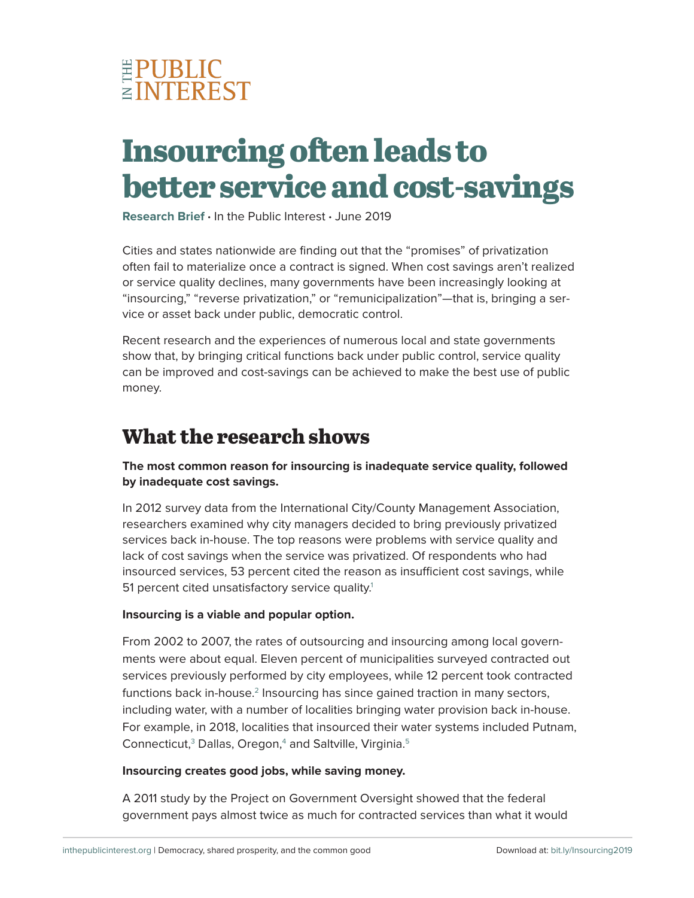

# **Insourcing often leads to better service and cost-savings**

**Research Brief ·** In the Public Interest **·** June 2019

Cities and states nationwide are finding out that the "promises" of privatization often fail to materialize once a contract is signed. When cost savings aren't realized or service quality declines, many governments have been increasingly looking at "insourcing," "reverse privatization," or "remunicipalization"—that is, bringing a service or asset back under public, democratic control.

Recent research and the experiences of numerous local and state governments show that, by bringing critical functions back under public control, service quality can be improved and cost-savings can be achieved to make the best use of public money.

## **What the research shows**

### **The most common reason for insourcing is inadequate service quality, followed by inadequate cost savings.**

In 2012 survey data from the International City/County Management Association, researchers examined why city managers decided to bring previously privatized services back in-house. The top reasons were problems with service quality and lack of cost savings when the service was privatized. Of respondents who had insourced services, 53 percent cited the reason as insufficient cost savings, while 51 percent cited unsatisfactory service quality.<sup>1</sup>

### **Insourcing is a viable and popular option.**

From 2002 to 2007, the rates of outsourcing and insourcing among local governments were about equal. Eleven percent of municipalities surveyed contracted out services previously performed by city employees, while 12 percent took contracted functions back in-house.<sup>2</sup> Insourcing has since gained traction in many sectors, including water, with a number of localities bringing water provision back in-house. For example, in 2018, localities that insourced their water systems included Putnam, Connecticut, $3$  Dallas, Oregon, $4$  and Saltville, Virginia. $5$ 

#### **Insourcing creates good jobs, while saving money.**

A 2011 study by the Project on Government Oversight showed that the federal government pays almost twice as much for contracted services than what it would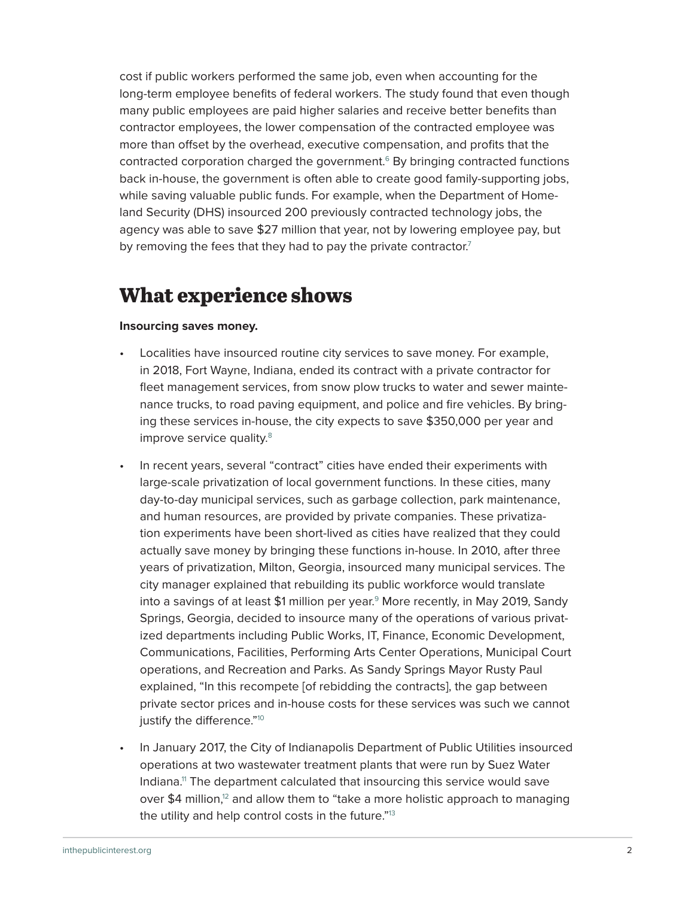cost if public workers performed the same job, even when accounting for the long-term employee benefits of federal workers. The study found that even though many public employees are paid higher salaries and receive better benefits than contractor employees, the lower compensation of the contracted employee was more than offset by the overhead, executive compensation, and profits that the contracted corporation charged the government.<sup>6</sup> By bringing contracted functions back in-house, the government is often able to create good family-supporting jobs, while saving valuable public funds. For example, when the Department of Homeland Security (DHS) insourced 200 previously contracted technology jobs, the agency was able to save \$27 million that year, not by lowering employee pay, but by removing the fees that they had to pay the private contractor.<sup>7</sup>

## **What experience shows**

#### **Insourcing saves money.**

- Localities have insourced routine city services to save money. For example, in 2018, Fort Wayne, Indiana, ended its contract with a private contractor for fleet management services, from snow plow trucks to water and sewer maintenance trucks, to road paving equipment, and police and fire vehicles. By bringing these services in-house, the city expects to save \$350,000 per year and improve service quality.<sup>8</sup>
- In recent years, several "contract" cities have ended their experiments with large-scale privatization of local government functions. In these cities, many day-to-day municipal services, such as garbage collection, park maintenance, and human resources, are provided by private companies. These privatization experiments have been short-lived as cities have realized that they could actually save money by bringing these functions in-house. In 2010, after three years of privatization, Milton, Georgia, insourced many municipal services. The city manager explained that rebuilding its public workforce would translate into a savings of at least \$1 million per year.<sup>9</sup> More recently, in May 2019, Sandy Springs, Georgia, decided to insource many of the operations of various privatized departments including Public Works, IT, Finance, Economic Development, Communications, Facilities, Performing Arts Center Operations, Municipal Court operations, and Recreation and Parks. As Sandy Springs Mayor Rusty Paul explained, "In this recompete [of rebidding the contracts], the gap between private sector prices and in-house costs for these services was such we cannot justify the difference."<sup>10</sup>
- In January 2017, the City of Indianapolis Department of Public Utilities insourced operations at two wastewater treatment plants that were run by Suez Water Indiana.[11 T](#page-4-0)he department calculated that insourcing this service would save over \$4 million,<sup>[12](#page-4-0)</sup> and allow them to "take a more holistic approach to managing the utility and help control costs in the future."[13](#page-4-0)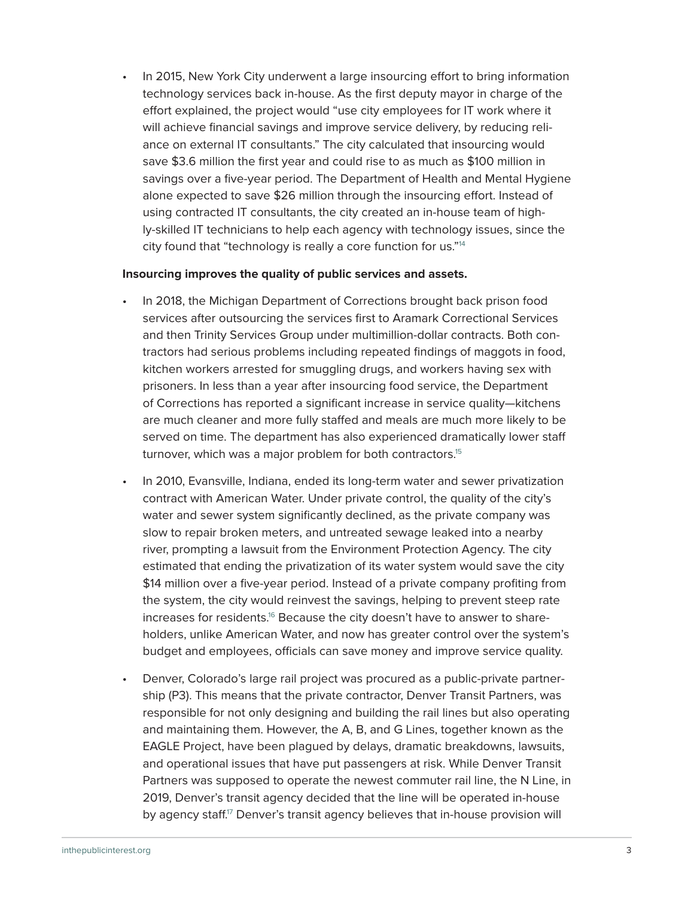• In 2015, New York City underwent a large insourcing effort to bring information technology services back in-house. As the first deputy mayor in charge of the effort explained, the project would "use city employees for IT work where it will achieve financial savings and improve service delivery, by reducing reliance on external IT consultants." The city calculated that insourcing would save \$3.6 million the first year and could rise to as much as \$100 million in savings over a five-year period. The Department of Health and Mental Hygiene alone expected to save \$26 million through the insourcing effort. Instead of using contracted IT consultants, the city created an in-house team of highly-skilled IT technicians to help each agency with technology issues, since the city found that "technology is really a core function for us.["14](#page-4-0)

#### **Insourcing improves the quality of public services and assets.**

- In 2018, the Michigan Department of Corrections brought back prison food services after outsourcing the services first to Aramark Correctional Services and then Trinity Services Group under multimillion-dollar contracts. Both contractors had serious problems including repeated findings of maggots in food, kitchen workers arrested for smuggling drugs, and workers having sex with prisoners. In less than a year after insourcing food service, the Department of Corrections has reported a significant increase in service quality—kitchens are much cleaner and more fully staffed and meals are much more likely to be served on time. The department has also experienced dramatically lower staff turnover, which was a major problem for both contractors.<sup>1[5](#page-4-0)</sup>
- In 2010, Evansville, Indiana, ended its long-term water and sewer privatization contract with American Water. Under private control, the quality of the city's water and sewer system significantly declined, as the private company was slow to repair broken meters, and untreated sewage leaked into a nearby river, prompting a lawsuit from the Environment Protection Agency. The city estimated that ending the privatization of its water system would save the city \$14 million over a five-year period. Instead of a private company profiting from the system, the city would reinvest the savings, helping to prevent steep rate increases for residents.<sup>16</sup> Because the city doesn't have to answer to shareholders, unlike American Water, and now has greater control over the system's budget and employees, officials can save money and improve service quality.
- Denver, Colorado's large rail project was procured as a public-private partnership (P3). This means that the private contractor, Denver Transit Partners, was responsible for not only designing and building the rail lines but also operating and maintaining them. However, the A, B, and G Lines, together known as the EAGLE Project, have been plagued by delays, dramatic breakdowns, lawsuits, and operational issues that have put passengers at risk. While Denver Transit Partners was supposed to operate the newest commuter rail line, the N Line, in 2019, Denver's transit agency decided that the line will be operated in-house by agency staff.<sup> $17$ </sup> Denver's transit agency believes that in-house provision will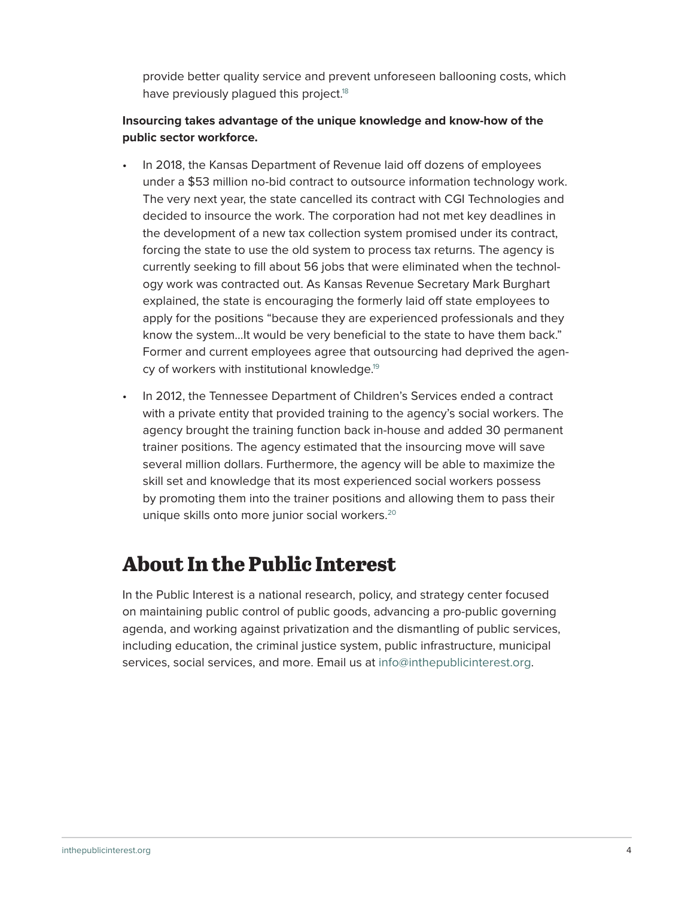provide better quality service and prevent unforeseen ballooning costs, which have previously plagued this project.<sup>18</sup>

### **Insourcing takes advantage of the unique knowledge and know-how of the public sector workforce.**

- In 2018, the Kansas Department of Revenue laid off dozens of employees under a \$53 million no-bid contract to outsource information technology work. The very next year, the state cancelled its contract with CGI Technologies and decided to insource the work. The corporation had not met key deadlines in the development of a new tax collection system promised under its contract, forcing the state to use the old system to process tax returns. The agency is currently seeking to fill about 56 jobs that were eliminated when the technology work was contracted out. As Kansas Revenue Secretary Mark Burghart explained, the state is encouraging the formerly laid off state employees to apply for the positions "because they are experienced professionals and they know the system...It would be very beneficial to the state to have them back." Former and current employees agree that outsourcing had deprived the agency of workers with institutional knowledge.<sup>19</sup>
- In 2012, the Tennessee Department of Children's Services ended a contract with a private entity that provided training to the agency's social workers. The agency brought the training function back in-house and added 30 permanent trainer positions. The agency estimated that the insourcing move will save several million dollars. Furthermore, the agency will be able to maximize the skill set and knowledge that its most experienced social workers possess by promoting them into the trainer positions and allowing them to pass their unique skills onto more junior social workers.<sup>20</sup>

# **About In the Public Interest**

In the Public Interest is a national research, policy, and strategy center focused on maintaining public control of public goods, advancing a pro-public governing agenda, and working against privatization and the dismantling of public services, including education, the criminal justice system, public infrastructure, municipal services, social services, and more. Email us at [info@inthepublicinterest.org.](mailto: info@inthepublicinterest.org)